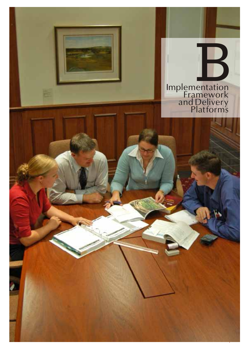

Vision Statement and Action Plan Framework - November 2005 Implementation Framework IPSWICH2020ANDBEYOND IPSWICH2020ANDBEYOND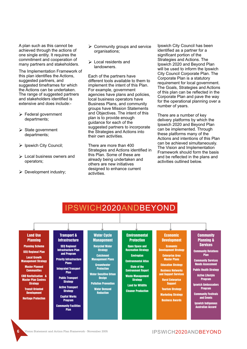A plan such as this cannot be achieved through the actions of one single entity. It requires the commitment and cooperation of many partners and stakeholders.

The Implementation Framework of this plan identifies the Actions, suggested partners, and suggested timeframes for which the Actions can be undertaken. The range of suggested partners and stakeholders identified is extensive and does include:-

- Ø Federal government departments;
- $\triangleright$  State government departments;
- **Ipswich City Council:**
- Local business owners and operators;
- $\triangleright$  Development industry;
- $\triangleright$  Community groups and service organisations;
- $\triangleright$  Local residents and landowners.

Each of the partners have different tools available to them to implement the intent of this Plan. For example, government agencies have plans and policies, local business operators have Business Plans, and community groups have Mission Statements and Objectives. The intent of this plan is to provide enough guidance for each of the suggested partners to incorporate the Strategies and Actions into their own activities.

There are more than 400 Strategies and Actions identified in this Plan. Some of these are already being undertaken and others are new initiatives designed to enhance current activities.

Ipswich City Council has been identified as a partner for a significant portion of the Strategies and Actions. The Ipswich 2020 and Beyond Plan will be used to inform the Ipswich City Council Corporate Plan. The Corporate Plan is a statutory requirement for local government. The Goals, Strategies and Actions of this plan can be reflected in the Corporate Plan and pave the way for the operational planning over a number of years.

There are a number of key delivery platforms by which the Ipswich 2020 and Beyond Plan can be implemented. Through these platforms many of the Actions and intentions of this Plan can be achieved simultaneously. The Vision and Implementation Framework should form the basis and be reflected in the plans and activities outlined below.

# IPSWICH2020ANDBEYOND

#### Land Use Planning

Planning Scheme **SEO Regional Plan** 

Local Growth Management Strategy

Master Planned **Communities** 

CBD Revitalisation & Master Plan Centres **Strategy** 

Transit Oriented **Development** 

Heritage Protection

#### **Transport & Infrastructure**

SEQ Regional Infrastructure Plan and Program

 Priority Infrastructure Plans

Integrated Transport Plan Public Transport

**Strategy** Active Transport

**Strategy** Capital Works Program

Community Facilities Plan

### Water Cycle

**Management** Recycled Water **Strategy Catchment** Management Plans

**Groundwater Protection** Water Sensitive Urban

**Design** Pollution Prevention Water Demand Reduction

#### Open Space and Recreation Strategy

**Environmental Protection** 

Enviroplan Environmental Atlas State of the Environment Report Waste Management **Strategy** Land for Wildlife

Cleaner Production

## Economic

Development Economic Development Strategy Enterprise Area Master Plans **Education Strategy** Business Networks and Support Services Rural Enterprise Support

Tourism Strategy **Marketing Strategy** Business Awards

#### **Community** Planning & Services

Community Relations Plan

Community Services Needs Assessment

Public Health Strategy Active Lifestyle Program

Ipswich Ambassadors Program

Community Festivals and Events

Ipswich Indigenous Australian Accord

#### IPSWICH 2020 AND BEYOND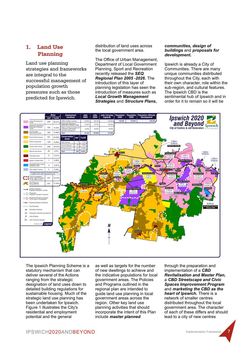### **1. Land Use Planning**

Land use planning strategies and frameworks are integral to the successful management of population growth pressures such as those predicted for Ipswich.

distribution of land uses across the local government area.

The Office of Urban Management, Department of Local Government Planning, Sport and Recreation recently released the *SEQ Regional Plan 2005 -2026***.** The introduction of this layer of planning legislation has seen the introduction of measures such as *Local Growth Management Strategies* and *Structure Plans***,**

#### *communities, design of buildings* and *proposals for development***.**

Ipswich is already a City of Communities. There are many unique communities distributed throughout the City, each with their own character, role within the sub-region, and cultural features. The Ipswich CBD is the sentimental hub of Ipswich and in order for it to remain so it will be



The Ipswich Planning Scheme is a statutory mechanism that can deliver several of the Actions ranging from the strategic designation of land uses down to detailed building regulations for sustainable housing. Much of the strategic land use planning has been undertaken for Ipswich. Figure 1 illustrates the City's residential and employment potential and the general

as well as targets for the number of new dwellings to achieve and the indicative populations for local government areas. The Policies and Programs outlined in the regional plan are intended to guide land use planning in local government areas across the region. Other key land use planning activities that should incorporate the intent of this Plan include *master planned* 

through the preparation and implementation of a *CBD Revitalisation and Master Plan***,** a *CBD Streetscape and Civic Spaces Improvement Program* and *marketing the CBD as the heart of Ipswich***.** There is a network of smaller centres distributed throughout the local government area. The character of each of these differs and should lead to a city of new centres

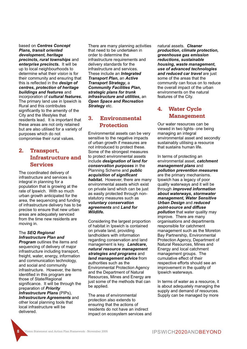based on *Centres Concept Plans***,** *transit oriented development***,** *heritage precincts***,** *rural townships* and *enterprise precincts***.** It will be up to local neighbourhoods to determine what their *vision* is for their community and ensuring that this is reflected in the *design of centres***,** *protection of heritage buildings and features* and incorporation of *cultural features***.** The primary land use in Ipswich is Rural and this contributes significantly to the amenity of the City and the lifestyles that residents lead. It is important that these areas are not only retained but are also utilised for a variety of purposes which do not compromise their rural values.

### **2. Transport, Infrastructure and Services**

The coordinated delivery of infrastructure and services is integral in planning for a population that is growing at the rate of Ipswich. With so much urban growth anticipated for the area, the sequencing and funding of infrastructure delivery has to be precise to ensure that new urban areas are adequately serviced from the time new residents are moving in.

#### The *SEQ Regional Infrastructure Plan and*

**Program** outlines the items and sequencing of delivery of major infrastructure including transport, freight, water, energy, information and communication technology, and social and community infrastructure. However, the items identified in this program are those of State/Regional significance. It will be through the preparation of *Priority Infrastructure Plans* (PIPs), *Infrastructure Agreements* and other local planning tools that local infrastructure will be delivered.

There are many planning activities that need to be undertaken in order to determine the infrastructure requirements and delivery standards for the infrastructure and services. These include an *Integrated Transport Plan***,** an *Active Transport Strategy***,** a *Community Facilities Plan***,**  *strategic plans for trunk infrastructure and utilities***,** an *Open Space and Recreation Strategy* etc.

### **3. Environmental Protection**

Environmental assets can be very sensitive to the negative impacts of urban growth if measures are not introduced to protect these. Some of the strongest measures to protect environmental assets include *designation of land for conservation purposes* in the Planning Scheme and *public acquisition of significant habitat***.** However, there are many environmental assets which exist on private land which can be just as easily protected through nonstatutory measures such as *voluntary conservation agreements* and *Land for Wildlife***.**

Considering the largest proportion of habitat in Ipswich is contained on private land, providing landholders with information regarding conservation and land management is key. *Landcare***,**  *natural resource management strategies and programs* and *land management advice* from authorities such as the Environmental Protection Agency and the Department of Natural Resources, Mines and Energy are just some of the methods that can be applied.

The area of environmental protection also extends to ensuring that the actions of residents do not have an indirect impact on ecosystem services and natural assets. *Cleaner production***,** *climate protection***,**  *greenhouse gas emission reductions***,** *sustainable housing***,** *waste management***,**  *use of advanced technologies and reduced car travel* are just some of the areas that the community can focus on to reduce the overall impact of the urban environments on the natural features of the City.

## **4. Water Cycle Management**

Our water resources can be viewed in two lights- one being managing an integral environmental asset and secondly sustainably utilising a resource that sustains human life.

In terms of protecting an environmental asset, *catchment management plans* and *pollution prevention measures* are the primary mechanisms. Ipswich has a legacy of poor quality waterways and it will be through *improved information about waterways***,** *stormwater management***,** *Water Sensitive Urban Design* and *reduced point-source and diffuse pollution* that water quality may improve. There are many organisations and departments responsible for catchment management such as the Moreton Bay Partnership, Environmental Protection Agency, Department of Natural Resources, Mines and Energy and local catchment management groups. The cumulative effect of their respective efforts should see an improvement in the quality of Ipswich waterways.

In terms of water as a resource, it is about adequately managing the supply and demand of resources. Supply can be managed by more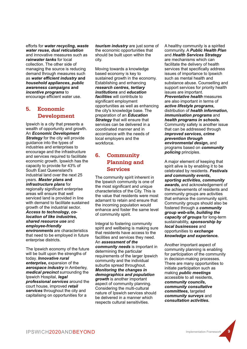efforts for *water recycling***,** *waste water reuse***,** *dual reticulation* and innovative measures such as *rainwater tanks* for local collection. The other side of managing the source is reducing demand through measures such as *water efficient industry* **and**  *household appliances***,** *public awareness campaigns* **and**  *incentive programs* to encourage efficient water use.

## **5. Economic Development**

Ipswich is a city that presents a wealth of opportunity and growth. An *Economic Development*  **Strategy** for the city will provide guidance into the types of industries and enterprises to encourage and the infrastructure and services required to facilitate economic growth. Ipswich has the capacity to provide for 43% of South East Queensland's industrial land over the next 25 years. *Master plans* **and**  *infrastructure plans* for regionally significant enterprise areas will ensure that well serviced land is provided in line with demand to facilitate sustained growth of the industrial sector. *Access to technology***,** *colocation of like industries***,**  *shared resource use* and *employee-friendly environments* are characteristics

that need to be employed in future enterprise districts.

The Ipswich economy of the future will be built upon the strengths of today. *Innovative rural enterprise***,** expansion of the *aerospace industry* in Amberley, *medical precinct* surrounding the Ipswich Hospital, *legal professional services* around the court house, improved *retail services* throughout the city and capitalising on opportunities for a

*tourism industry* are just some of the economic opportunities that should be built upon within the city.

Moving towards a knowledge based economy is key to sustained growth in the economy. Establishing and enhancing *research centres***,** *tertiary institutions* and *education facilities* will contribute to significant employment opportunities as well as enhancing the city's knowledge base. The preparation of an *Education Strategy* that will ensure that services can be delivered in a coordinated manner and in accordance with the needs of local employers and the workforce.

### **6. Community Planning and Services**

The community spirit inherent in the Ipswich community is one of the most significant and unique characteristics of the City. This is the value that residents were most adamant to retain and ensure that the incoming population would enhance and foster the same level of community spirit.

Integral to fostering community spirit and wellbeing is making sure that residents have access to the facilities and services they need. An *assessment of the community needs* is important in determining the particular requirements of the larger Ipswich community and the individual suburbs spread throughout. *Monitoring the changes in demographics and population growth* is another important aspect of community planning. Considering the multi-cultural nature of Ipswich services should be delivered in a manner which respects cultural sensitivities.

A healthy community is a spirited community. A *Public Health Plan* and *Health Services Strategy* are mechanisms which can facilitate the delivery of health services that specifically address issues of importance to Ipswich such as mental health and substance abuse. Counselling and support services for priority health issues are important.

*Preventative health* measures are also important in terms of *active lifestyle programs***,**  distribution of *health information***,**  *immunisation programs* and *health programs in schools***.** Community safety is another issue that can be addressed through *improved services***,** *crime prevention through environmental design***,** and programs based on *community policing* principles.

A major element of keeping that spirit alive is by enabling it to be celebrated by residents. *Festivals and community events***,**  *sporting activities***,** *community awards***,** and acknowledgement of the achievements of residents and community groups are activities that enhance the community spirit. Community groups should also be fostered through a *community group web-site***,** *building the capacity of groups* for long-term sustainability, *sponsorship by local businesses* and opportunities to *exchange knowledge and experience***.**

Another important aspect of community planning is enabling for participation of the community in decision-making processes. There are many opportunities to initiate participation such as making *public meetings* accessible to all residents, *community councils***,**  *community consultative committees***,** targeted *community surveys* and *consultation activities***.**